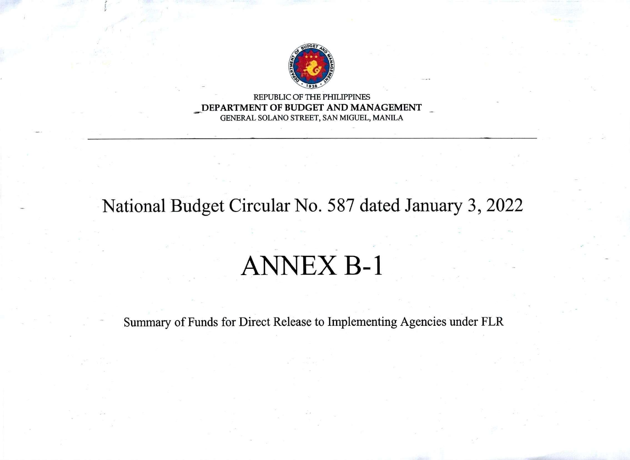

REPUBLIC OF THE PHILIPPINES DEPARTMENT OF BUDGET AND MANAGEMENT GENERAL SOLANO STREET, SAN MIGUEL, MANILA

## National Budget Circular No. 587 dated January 3, 2022

## ANNEX B-l

Summary of Funds for Direct Release to Implementing Agencies under FLR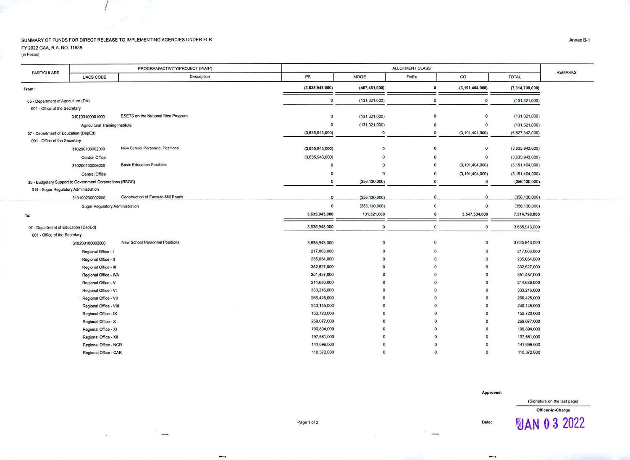## SUMMARY OF FUNDS FOR DIRECT RELEASE TO IMPLEMENTING AGENCIES UNDER FLR FY 2022 GAA, R.A. NO. 11639

 $\overline{\phantom{0}}$ 

 $\alpha$ 

(in Pesos)

| <b>PARTICULARS</b>                                       | PROGRAM/ACTIVITY/PROJECT (P/A/P) |                                       | ALLOTMENT CLASS |                 |                    |                    |                    | <b>REMARKS</b> |
|----------------------------------------------------------|----------------------------------|---------------------------------------|-----------------|-----------------|--------------------|--------------------|--------------------|----------------|
|                                                          | <b>UACS CODE</b>                 | Description                           | PS              | MOOE            | FinEx              | $\rm{co}$          | <b>TOTAL</b>       |                |
| From:                                                    |                                  | (3,635,943,000)                       | (487, 451, 000) | $\mathbf 0$     | (3, 191, 404, 000) | (7,314,798,000)    |                    |                |
| 05 - Department of Agriculture (DA)                      |                                  |                                       | $\mathbf 0$     | (131.321.000)   | $\mathbf 0$        | $\Omega$           | (131, 321, 000)    |                |
| 001 - Office of the Secretary                            |                                  |                                       |                 |                 |                    |                    |                    |                |
|                                                          | 310103100001000                  | ESETS on the National Rice Program    | $\mathbf 0$     | (131, 321, 000) | $\mathbf{0}$       | $\Omega$           | (131, 321, 000)    |                |
| <b>Agricultural Training Institute</b>                   |                                  |                                       | $\mathbf 0$     | (131, 321, 000) | $\mathbf 0$        | $\Omega$           | (131, 321, 000)    |                |
| 07 - Department of Education (DepEd)                     |                                  |                                       | (3,635,943,000) | $\mathbf 0$     | $\mathbf 0$        | (3, 191, 404, 000) | (6,827,347,000)    |                |
| 001 - Office of the Secretary                            |                                  |                                       |                 |                 |                    |                    |                    |                |
|                                                          | 310200100002000                  | New School Personnel Positions        | (3,635,943,000) | $\mathbf{o}$    | $\mathbf{0}$       | $\circ$            | (3,635,943,000)    |                |
|                                                          | Central Office                   |                                       | (3,635,943,000) | $\Omega$        | $^{\circ}$         | $\circ$            | (3,635,943,000)    |                |
|                                                          | 310200100006000                  | <b>Basic Education Facilities</b>     | $\mathbf 0$     | $\mathbf{0}$    | $\mathbf 0$        | (3, 191, 404, 000) | (3, 191, 404, 000) |                |
|                                                          | Central Office                   |                                       | $\mathbf{0}$    | $\mathbf{0}$    | $\Omega$           | (3, 191, 404, 000) | (3, 191, 404, 000) |                |
| 35 - Budgetary Support to Government Corporations (BSGC) |                                  |                                       | 0               | (356, 130, 000) | $\mathbf 0$        | $\mathbf{0}$       | (356, 130, 000)    |                |
| 014 - Sugar Regulatory Administration                    |                                  |                                       |                 |                 |                    |                    |                    |                |
|                                                          | 310100200002000                  | Construction of Farm-to-Mill Roads    | $\mathbf{0}$    | (356, 130, 000) | $\mathbf{0}$       | $\mathbf{0}$       | (356, 130, 000)    |                |
|                                                          | Sugar Regulatory Administration  |                                       | $\mathbf 0$     | (356, 130, 000) | $\mathbf 0$        | $\mathbf{0}$       | (356, 130, 000)    |                |
| To:                                                      |                                  | 3,635,943,000                         | 131,321,000     | $\mathbf{0}$    | 3,547,534,000      | 7,314,798,000      |                    |                |
| 07 - Department of Education (DepEd)                     |                                  | 3,635,943,000                         | $\mathbf{0}$    | $\mathbf{0}$    | $\mathbf 0$        | 3,635,943,000      |                    |                |
| 001 - Office of the Secretary                            |                                  |                                       |                 |                 |                    |                    |                    |                |
|                                                          | 310200100002000                  | <b>New School Personnel Positions</b> | 3,635,943,000   | $\circ$         | $\Omega$           | $\circ$            | 3,635,943,000      |                |
|                                                          | Regional Office - I              |                                       | 217,003,000     | $\Omega$        | $\Omega$           | $\Omega$           | 217,003,000        |                |
|                                                          | Regional Office - II             |                                       | 235,054,000     | $\Omega$        | $\Omega$           | $\Omega$           | 235,054,000        |                |
|                                                          | Regional Office - III            |                                       | 382,527,000     |                 |                    | $\Omega$           | 382,527,000        |                |
|                                                          | Regional Office - IVA            |                                       | 351,457,000     |                 |                    | $\Omega$           | 351,457,000        |                |
|                                                          | Regional Office - V              |                                       | 214,686,000     |                 |                    | $\Omega$           | 214,686,000        |                |
|                                                          | Regional Office - VI             |                                       | 333,216,000     |                 | $\Omega$           | $\Omega$           | 333,216,000        |                |
|                                                          | Regional Office - VII            |                                       | 266,425,000     |                 |                    | $\Omega$           | 266,425,000        |                |
|                                                          | Regional Office - VIII           |                                       | 240,145,000     |                 | $\Omega$           | $\Omega$           | 240,145,000        |                |
|                                                          | Regional Office - IX             |                                       | 152,720,000     |                 |                    |                    | 152,720,000        |                |
|                                                          | Regional Office - X              |                                       | 269,077,000     |                 |                    | $\Omega$           | 269,077,000        |                |
|                                                          | Regional Office - XI             |                                       | 190,894,000     |                 |                    |                    | 190,894,000        |                |
|                                                          | Regional Office - XII            |                                       | 197,581,000     |                 |                    |                    | 197,581,000        |                |
|                                                          | Regional Office - NCR            |                                       | 141,696,000     |                 |                    |                    | 141,696,000        |                |
|                                                          | Regional Office - CAR            |                                       | 110,372,000     | $\Omega$        | $\Omega$           | $\Omega$           | 110,372,000        |                |

Approved:

(Signature on the last page)

**MAN 0 3 2022** 

Officer-in-Charge

Page 1 of 2

Annex B-1

L.

Date: